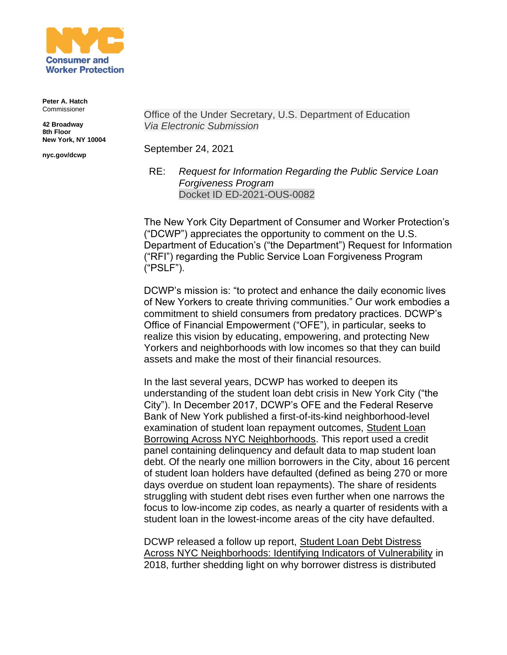

**Peter A. Hatch** Commissioner

**42 Broadway 8th Floor New York, NY 10004**

**nyc.gov/dcwp**

Office of the Under Secretary, U.S. Department of Education *Via Electronic Submission*

September 24, 2021

RE: *Request for Information Regarding the Public Service Loan Forgiveness Program* Docket ID ED-2021-OUS-0082

The New York City Department of Consumer and Worker Protection's ("DCWP") appreciates the opportunity to comment on the U.S. Department of Education's ("the Department") Request for Information ("RFI") regarding the Public Service Loan Forgiveness Program ("PSLF").

DCWP's mission is: "to protect and enhance the daily economic lives of New Yorkers to create thriving communities." Our work embodies a commitment to shield consumers from predatory practices. DCWP's Office of Financial Empowerment ("OFE"), in particular, seeks to realize this vision by educating, empowering, and protecting New Yorkers and neighborhoods with low incomes so that they can build assets and make the most of their financial resources.

In the last several years, DCWP has worked to deepen its understanding of the student loan debt crisis in New York City ("the City"). In December 2017, DCWP's OFE and the Federal Reserve Bank of New York published a first-of-its-kind neighborhood-level examination of student loan repayment outcomes, [Student Loan](https://www.newyorkfed.org/medialibrary/media/outreach-and-education/community-development/credit-conditions/student-loan-borrowing-nyc-neighborhoods.pdf)  [Borrowing Across NYC Neighborhoods.](https://www.newyorkfed.org/medialibrary/media/outreach-and-education/community-development/credit-conditions/student-loan-borrowing-nyc-neighborhoods.pdf) This report used a credit panel containing delinquency and default data to map student loan debt. Of the nearly one million borrowers in the City, about 16 percent of student loan holders have defaulted (defined as being 270 or more days overdue on student loan repayments). The share of residents struggling with student debt rises even further when one narrows the focus to low-income zip codes, as nearly a quarter of residents with a student loan in the lowest-income areas of the city have defaulted.

DCWP released a follow up report, [Student Loan Debt Distress](https://www1.nyc.gov/assets/dca/downloads/pdf/partners/Research-StudentLoanDebtDistressAcrossNYCNeighborhoods.pdf)  [Across NYC Neighborhoods: Identifying Indicators of Vulnerability](https://www1.nyc.gov/assets/dca/downloads/pdf/partners/Research-StudentLoanDebtDistressAcrossNYCNeighborhoods.pdf) in 2018, further shedding light on why borrower distress is distributed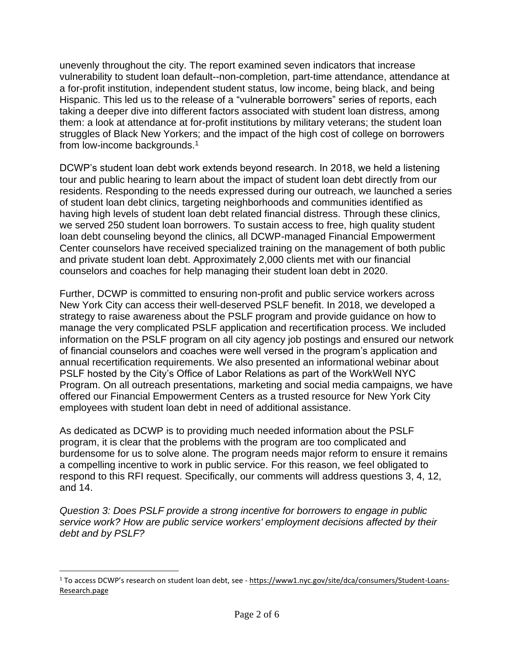unevenly throughout the city. The report examined seven indicators that increase vulnerability to student loan default--non-completion, part-time attendance, attendance at a for-profit institution, independent student status, low income, being black, and being Hispanic. This led us to the release of a "vulnerable borrowers" series of reports, each taking a deeper dive into different factors associated with student loan distress, among them: a look at attendance at for-profit institutions by military veterans; the student loan struggles of Black New Yorkers; and the impact of the high cost of college on borrowers from low-income backgrounds.<sup>1</sup>

DCWP's student loan debt work extends beyond research. In 2018, we held a listening tour and public hearing to learn about the impact of student loan debt directly from our residents. Responding to the needs expressed during our outreach, we launched a series of student loan debt clinics, targeting neighborhoods and communities identified as having high levels of student loan debt related financial distress. Through these clinics, we served 250 student loan borrowers. To sustain access to free, high quality student loan debt counseling beyond the clinics, all DCWP-managed Financial Empowerment Center counselors have received specialized training on the management of both public and private student loan debt. Approximately 2,000 clients met with our financial counselors and coaches for help managing their student loan debt in 2020.

Further, DCWP is committed to ensuring non-profit and public service workers across New York City can access their well-deserved PSLF benefit. In 2018, we developed a strategy to raise awareness about the PSLF program and provide guidance on how to manage the very complicated PSLF application and recertification process. We included information on the PSLF program on all city agency job postings and ensured our network of financial counselors and coaches were well versed in the program's application and annual recertification requirements. We also presented an informational webinar about PSLF hosted by the City's Office of Labor Relations as part of the WorkWell NYC Program. On all outreach presentations, marketing and social media campaigns, we have offered our Financial Empowerment Centers as a trusted resource for New York City employees with student loan debt in need of additional assistance.

As dedicated as DCWP is to providing much needed information about the PSLF program, it is clear that the problems with the program are too complicated and burdensome for us to solve alone. The program needs major reform to ensure it remains a compelling incentive to work in public service. For this reason, we feel obligated to respond to this RFI request. Specifically, our comments will address questions 3, 4, 12, and 14.

*Question 3: Does PSLF provide a strong incentive for borrowers to engage in public service work? How are public service workers' employment decisions affected by their debt and by PSLF?*

<sup>&</sup>lt;sup>1</sup> To access DCWP's research on student loan debt, see - [https://www1.nyc.gov/site/dca/consumers/Student-Loans-](https://www1.nyc.gov/site/dca/consumers/Student-Loans-Research.page)[Research.page](https://www1.nyc.gov/site/dca/consumers/Student-Loans-Research.page)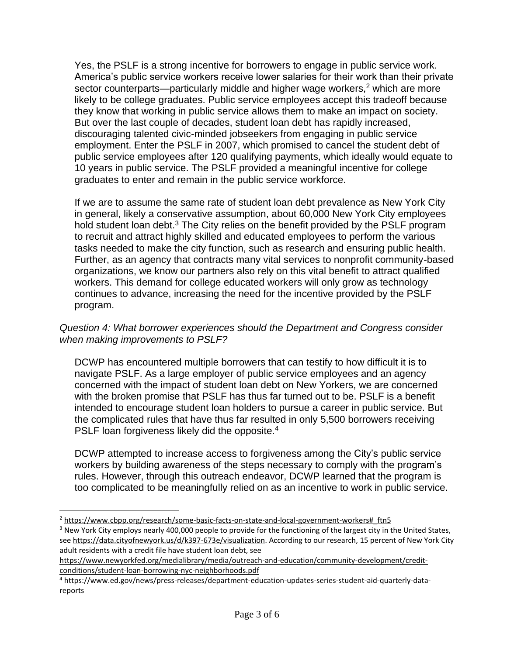Yes, the PSLF is a strong incentive for borrowers to engage in public service work. America's public service workers receive lower salaries for their work than their private sector counterparts—particularly middle and higher wage workers, $<sup>2</sup>$  which are more</sup> likely to be college graduates. Public service employees accept this tradeoff because they know that working in public service allows them to make an impact on society. But over the last couple of decades, student loan debt has rapidly increased, discouraging talented civic-minded jobseekers from engaging in public service employment. Enter the PSLF in 2007, which promised to cancel the student debt of public service employees after 120 qualifying payments, which ideally would equate to 10 years in public service. The PSLF provided a meaningful incentive for college graduates to enter and remain in the public service workforce.

If we are to assume the same rate of student loan debt prevalence as New York City in general, likely a conservative assumption, about 60,000 New York City employees hold student loan debt. $3$  The City relies on the benefit provided by the PSLF program to recruit and attract highly skilled and educated employees to perform the various tasks needed to make the city function, such as research and ensuring public health. Further, as an agency that contracts many vital services to nonprofit community-based organizations, we know our partners also rely on this vital benefit to attract qualified workers. This demand for college educated workers will only grow as technology continues to advance, increasing the need for the incentive provided by the PSLF program.

## *Question 4: What borrower experiences should the Department and Congress consider when making improvements to PSLF?*

DCWP has encountered multiple borrowers that can testify to how difficult it is to navigate PSLF. As a large employer of public service employees and an agency concerned with the impact of student loan debt on New Yorkers, we are concerned with the broken promise that PSLF has thus far turned out to be. PSLF is a benefit intended to encourage student loan holders to pursue a career in public service. But the complicated rules that have thus far resulted in only 5,500 borrowers receiving PSLF loan forgiveness likely did the opposite.<sup>4</sup>

DCWP attempted to increase access to forgiveness among the City's public service workers by building awareness of the steps necessary to comply with the program's rules. However, through this outreach endeavor, DCWP learned that the program is too complicated to be meaningfully relied on as an incentive to work in public service.

<sup>2</sup> [https://www.cbpp.org/research/some-basic-facts-on-state-and-local-government-workers#\\_ftn5](https://www.cbpp.org/research/some-basic-facts-on-state-and-local-government-workers#_ftn5)

<sup>&</sup>lt;sup>3</sup> New York City employs nearly 400,000 people to provide for the functioning of the largest city in the United States, see [https://data.cityofnewyork.us/d/k397-673e/visualization.](https://data.cityofnewyork.us/d/k397-673e/visualization) According to our research, 15 percent of New York City adult residents with a credit file have student loan debt, see

[https://www.newyorkfed.org/medialibrary/media/outreach-and-education/community-development/credit](https://www.newyorkfed.org/medialibrary/media/outreach-and-education/community-development/credit-conditions/student-loan-borrowing-nyc-neighborhoods.pdf)[conditions/student-loan-borrowing-nyc-neighborhoods.pdf](https://www.newyorkfed.org/medialibrary/media/outreach-and-education/community-development/credit-conditions/student-loan-borrowing-nyc-neighborhoods.pdf)

<sup>4</sup> https://www.ed.gov/news/press-releases/department-education-updates-series-student-aid-quarterly-datareports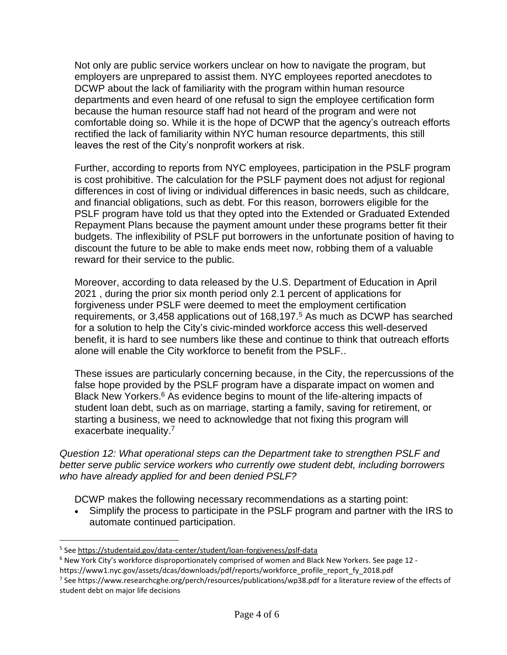Not only are public service workers unclear on how to navigate the program, but employers are unprepared to assist them. NYC employees reported anecdotes to DCWP about the lack of familiarity with the program within human resource departments and even heard of one refusal to sign the employee certification form because the human resource staff had not heard of the program and were not comfortable doing so. While it is the hope of DCWP that the agency's outreach efforts rectified the lack of familiarity within NYC human resource departments, this still leaves the rest of the City's nonprofit workers at risk.

Further, according to reports from NYC employees, participation in the PSLF program is cost prohibitive. The calculation for the PSLF payment does not adjust for regional differences in cost of living or individual differences in basic needs, such as childcare, and financial obligations, such as debt. For this reason, borrowers eligible for the PSLF program have told us that they opted into the Extended or Graduated Extended Repayment Plans because the payment amount under these programs better fit their budgets. The inflexibility of PSLF put borrowers in the unfortunate position of having to discount the future to be able to make ends meet now, robbing them of a valuable reward for their service to the public.

Moreover, according to data released by the U.S. Department of Education in April 2021 , during the prior six month period only 2.1 percent of applications for forgiveness under PSLF were deemed to meet the employment certification requirements, or 3,458 applications out of 168,197.<sup>5</sup> As much as DCWP has searched for a solution to help the City's civic-minded workforce access this well-deserved benefit, it is hard to see numbers like these and continue to think that outreach efforts alone will enable the City workforce to benefit from the PSLF..

These issues are particularly concerning because, in the City, the repercussions of the false hope provided by the PSLF program have a disparate impact on women and Black New Yorkers.<sup>6</sup> As evidence begins to mount of the life-altering impacts of student loan debt, such as on marriage, starting a family, saving for retirement, or starting a business, we need to acknowledge that not fixing this program will exacerbate inequality.<sup>7</sup>

*Question 12: What operational steps can the Department take to strengthen PSLF and better serve public service workers who currently owe student debt, including borrowers who have already applied for and been denied PSLF?*

DCWP makes the following necessary recommendations as a starting point:

• Simplify the process to participate in the PSLF program and partner with the IRS to automate continued participation.

<sup>&</sup>lt;sup>5</sup> See <https://studentaid.gov/data-center/student/loan-forgiveness/pslf-data>

 $6$  New York City's workforce disproportionately comprised of women and Black New Yorkers. See page 12 -

https://www1.nyc.gov/assets/dcas/downloads/pdf/reports/workforce\_profile\_report\_fy\_2018.pdf

<sup>&</sup>lt;sup>7</sup> See https://www.researchcghe.org/perch/resources/publications/wp38.pdf for a literature review of the effects of student debt on major life decisions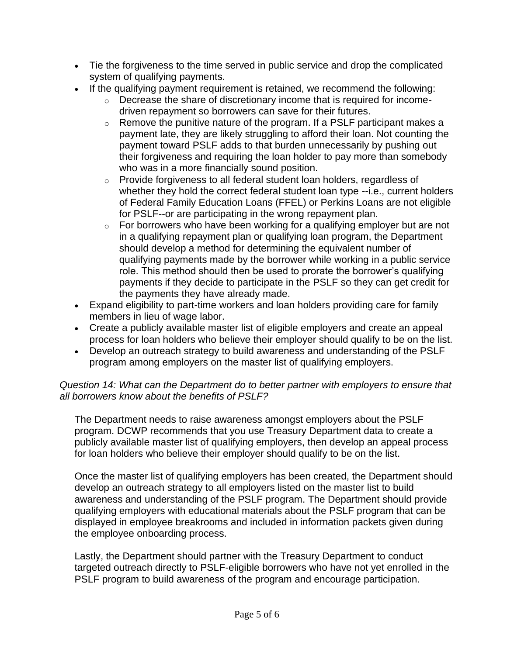- Tie the forgiveness to the time served in public service and drop the complicated system of qualifying payments.
- If the qualifying payment requirement is retained, we recommend the following:
	- o Decrease the share of discretionary income that is required for incomedriven repayment so borrowers can save for their futures.
	- $\circ$  Remove the punitive nature of the program. If a PSLF participant makes a payment late, they are likely struggling to afford their loan. Not counting the payment toward PSLF adds to that burden unnecessarily by pushing out their forgiveness and requiring the loan holder to pay more than somebody who was in a more financially sound position.
	- o Provide forgiveness to all federal student loan holders, regardless of whether they hold the correct federal student loan type --i.e., current holders of Federal Family Education Loans (FFEL) or Perkins Loans are not eligible for PSLF--or are participating in the wrong repayment plan.
	- $\circ$  For borrowers who have been working for a qualifying employer but are not in a qualifying repayment plan or qualifying loan program, the Department should develop a method for determining the equivalent number of qualifying payments made by the borrower while working in a public service role. This method should then be used to prorate the borrower's qualifying payments if they decide to participate in the PSLF so they can get credit for the payments they have already made.
- Expand eligibility to part-time workers and loan holders providing care for family members in lieu of wage labor.
- Create a publicly available master list of eligible employers and create an appeal process for loan holders who believe their employer should qualify to be on the list.
- Develop an outreach strategy to build awareness and understanding of the PSLF program among employers on the master list of qualifying employers.

## *Question 14: What can the Department do to better partner with employers to ensure that all borrowers know about the benefits of PSLF?*

The Department needs to raise awareness amongst employers about the PSLF program. DCWP recommends that you use Treasury Department data to create a publicly available master list of qualifying employers, then develop an appeal process for loan holders who believe their employer should qualify to be on the list.

Once the master list of qualifying employers has been created, the Department should develop an outreach strategy to all employers listed on the master list to build awareness and understanding of the PSLF program. The Department should provide qualifying employers with educational materials about the PSLF program that can be displayed in employee breakrooms and included in information packets given during the employee onboarding process.

Lastly, the Department should partner with the Treasury Department to conduct targeted outreach directly to PSLF-eligible borrowers who have not yet enrolled in the PSLF program to build awareness of the program and encourage participation.